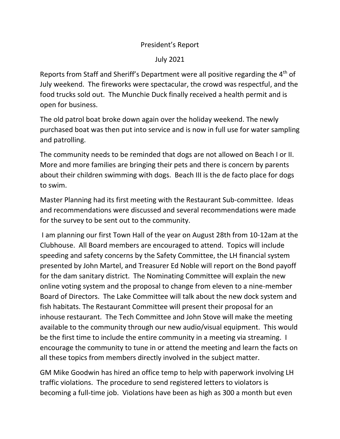## President's Report

## July 2021

Reports from Staff and Sheriff's Department were all positive regarding the 4<sup>th</sup> of July weekend. The fireworks were spectacular, the crowd was respectful, and the food trucks sold out. The Munchie Duck finally received a health permit and is open for business.

The old patrol boat broke down again over the holiday weekend. The newly purchased boat was then put into service and is now in full use for water sampling and patrolling.

The community needs to be reminded that dogs are not allowed on Beach I or II. More and more families are bringing their pets and there is concern by parents about their children swimming with dogs. Beach III is the de facto place for dogs to swim.

Master Planning had its first meeting with the Restaurant Sub-committee. Ideas and recommendations were discussed and several recommendations were made for the survey to be sent out to the community.

I am planning our first Town Hall of the year on August 28th from 10-12am at the Clubhouse. All Board members are encouraged to attend. Topics will include speeding and safety concerns by the Safety Committee, the LH financial system presented by John Martel, and Treasurer Ed Noble will report on the Bond payoff for the dam sanitary district. The Nominating Committee will explain the new online voting system and the proposal to change from eleven to a nine-member Board of Directors. The Lake Committee will talk about the new dock system and fish habitats. The Restaurant Committee will present their proposal for an inhouse restaurant. The Tech Committee and John Stove will make the meeting available to the community through our new audio/visual equipment. This would be the first time to include the entire community in a meeting via streaming. I encourage the community to tune in or attend the meeting and learn the facts on all these topics from members directly involved in the subject matter.

GM Mike Goodwin has hired an office temp to help with paperwork involving LH traffic violations. The procedure to send registered letters to violators is becoming a full-time job. Violations have been as high as 300 a month but even